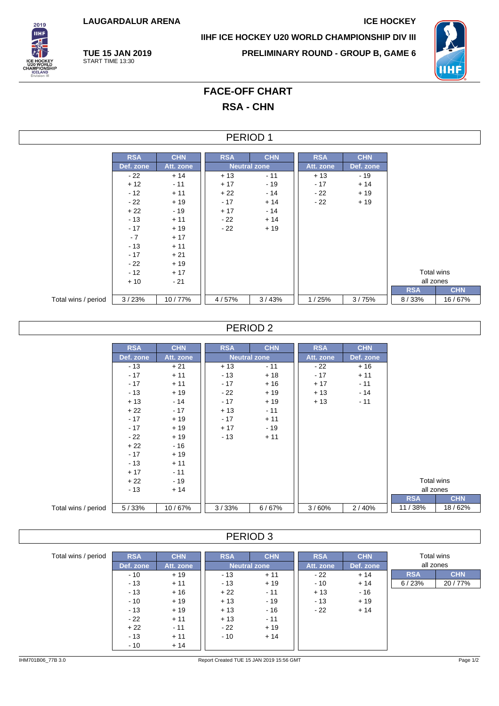**LAUGARDALUR ARENA ICE HOCKEY**

**TUE 15 JAN 2019** START TIME 13:30



**IIHF ICE HOCKEY U20 WORLD CHAMPIONSHIP DIV III**

**PRELIMINARY ROUND - GROUP B, GAME 6**



# **FACE-OFF CHART RSA - CHN**

### PERIOD 1

|                     | <b>RSA</b> | <b>CHN</b> | <b>RSA</b> | <b>CHN</b>          | <b>RSA</b> | <b>CHN</b> |
|---------------------|------------|------------|------------|---------------------|------------|------------|
|                     | Def. zone  | Att. zone  |            | <b>Neutral zone</b> | Att. zone  | Def. zone  |
|                     | - 22       | $+14$      | $+13$      | $-11$               | $+13$      | $-19$      |
|                     | $+12$      | $-11$      | $+17$      | $-19$               | $-17$      | $+14$      |
|                     | $-12$      | $+11$      | $+22$      | $-14$               | - 22       | $+19$      |
|                     | $-22$      | $+19$      | $-17$      | $+14$               | - 22       | $+19$      |
|                     | $+22$      | $-19$      | $+17$      | $-14$               |            |            |
|                     | $-13$      | $+11$      | $-22$      | $+14$               |            |            |
|                     | $-17$      | $+19$      | $-22$      | $+19$               |            |            |
|                     | $-7$       | $+17$      |            |                     |            |            |
|                     | $-13$      | $+11$      |            |                     |            |            |
|                     | $-17$      | $+21$      |            |                     |            |            |
|                     | $-22$      | $+19$      |            |                     |            |            |
|                     | $-12$      | $+17$      |            |                     |            |            |
|                     | $+10$      | $-21$      |            |                     |            |            |
|                     |            |            |            |                     |            |            |
| Total wins / period | 3/23%      | 10/77%     | 4/57%      | 3/43%               | 1/25%      | 3/75%      |

## PERIOD 2

|                     | <b>RSA</b> | <b>CHN</b> | <b>RSA</b> | <b>CHN</b>          | <b>RSA</b> | <b>CHN</b> |            |            |
|---------------------|------------|------------|------------|---------------------|------------|------------|------------|------------|
|                     | Def. zone  | Att. zone  |            | <b>Neutral zone</b> | Att. zone  | Def. zone  |            |            |
|                     | $-13$      | $+21$      | $+13$      | $-11$               | - 22       | $+16$      |            |            |
|                     | $-17$      | $+11$      | $-13$      | $+18$               | $-17$      | $+11$      |            |            |
|                     | $-17$      | $+11$      | $-17$      | $+16$               | $+17$      | $-11$      |            |            |
|                     | $-13$      | $+19$      | $-22$      | $+19$               | $+13$      | - 14       |            |            |
|                     | $+13$      | $-14$      | $-17$      | $+19$               | $+13$      | $-11$      |            |            |
|                     | $+22$      | $-17$      | $+13$      | $-11$               |            |            |            |            |
|                     | $-17$      | $+19$      | $-17$      | $+11$               |            |            |            |            |
|                     | $-17$      | $+19$      | $+17$      | $-19$               |            |            |            |            |
|                     | $-22$      | $+19$      | $-13$      | $+11$               |            |            |            |            |
|                     | $+22$      | $-16$      |            |                     |            |            |            |            |
|                     | $-17$      | $+19$      |            |                     |            |            |            |            |
|                     | $-13$      | $+11$      |            |                     |            |            |            |            |
|                     | $+17$      | $-11$      |            |                     |            |            |            |            |
|                     | $+22$      | $-19$      |            |                     |            |            | Total wins |            |
|                     | $-13$      | $+14$      |            |                     |            |            | all zones  |            |
|                     |            |            |            |                     |            |            | <b>RSA</b> | <b>CHN</b> |
| Total wins / period | 5/33%      | 10/67%     | 3/33%      | 6/67%               | 3/60%      | 2/40%      | 11/38%     | 18/62%     |

## PERIOD 3

| Total wins / period | <b>RSA</b> | <b>CHN</b> | <b>RSA</b> | <b>CHN</b>          | <b>RSA</b> | <b>CHN</b> |            | Total wins |  |
|---------------------|------------|------------|------------|---------------------|------------|------------|------------|------------|--|
|                     | Def. zone  | Att. zone  |            | <b>Neutral zone</b> | Att. zone  | Def. zone  |            | all zones  |  |
|                     | $-10$      | $+19$      | $-13$      | $+11$               | $-22$      | $+14$      | <b>RSA</b> | <b>CHN</b> |  |
|                     | $-13$      | $+11$      | $-13$      | $+19$               | $-10$      | $+14$      | 6/23%      | 20/77%     |  |
|                     | $-13$      | $+16$      | $+22$      | $-11$               | $+13$      | - 16       |            |            |  |
|                     | $-10$      | $+19$      | $+13$      | $-19$               | $-13$      | $+19$      |            |            |  |
|                     | $-13$      | $+19$      | $+13$      | $-16$               | $-22$      | $+14$      |            |            |  |
|                     | $-22$      | $+11$      | $+13$      | $-11$               |            |            |            |            |  |
|                     | $+22$      | $-11$      | $-22$      | $+19$               |            |            |            |            |  |
|                     | $-13$      | $+11$      | $-10$      | $+14$               |            |            |            |            |  |
|                     | $-10$      | $+14$      |            |                     |            |            |            |            |  |